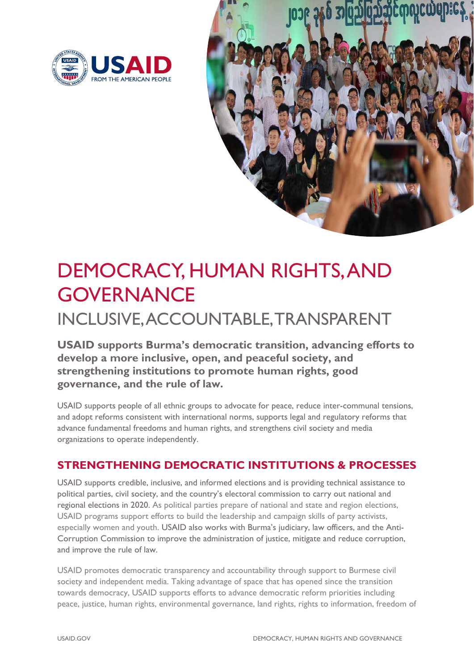



# DEMOCRACY, HUMAN RIGHTS, AND **GOVERNANCE**

# INCLUSIVE, ACCOUNTABLE, TRANSPARENT

**USAID supports Burma's democratic transition, advancing efforts to develop a more inclusive, open, and peaceful society, and strengthening institutions to promote human rights, good governance, and the rule of law.** 

USAID supports people of all ethnic groups to advocate for peace, reduce inter-communal tensions, and adopt reforms consistent with international norms, supports legal and regulatory reforms that advance fundamental freedoms and human rights, and strengthens civil society and media organizations to operate independently.

## **STRENGTHENING DEMOCRATIC INSTITUTIONS & PROCESSES**

USAID supports credible, inclusive, and informed elections and is providing technical assistance to political parties, civil society, and the country's electoral commission to carry out national and regional elections in 2020. As political parties prepare of national and state and region elections, USAID programs support efforts to build the leadership and campaign skills of party activists, especially women and youth. USAID also works with Burma's judiciary, law officers, and the Anti-Corruption Commission to improve the administration of justice, mitigate and reduce corruption, and improve the rule of law.

USAID promotes democratic transparency and accountability through support to Burmese civil society and independent media. Taking advantage of space that has opened since the transition towards democracy, USAID supports efforts to advance democratic reform priorities including peace, justice, human rights, environmental governance, land rights, rights to information, freedom of